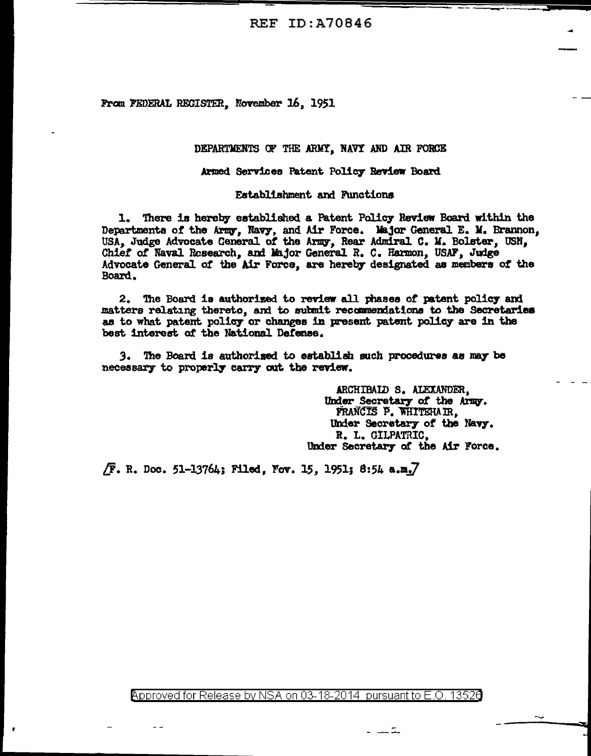**REF ID:A70846** 

From FEDERAL REGISTER. November 16, 1951

DEPARTMENTS OF THE ARMY, NAVY AND AIR FORCE

Armed Services Patent Policy Review Board

Establishment and Functions

1. There is hereby established a Patent Policy Review Board within the Departments of the Army, Navy, and Air Force. Major General E. M. Brannon, USA. Judge Advocate General of the Army, Rear Admiral C. M. Bolster, USN, Chief of Naval Research, and Major General R. C. Harmon, USAF, Judge Advocate General of the Air Force, are hereby designated as members of the Board.

2. The Board is authorized to review all phases of patent policy and matters relating thereto, and to submit recommendations to the Secretaries as to what patent policy or changes in present patent policy are in the best interest of the National Defense.

3. The Board is authorised to establish such procedures as may be necessary to properly carry out the review.

> ARCHIBALD S. ALEXANDER. Under Secretary of the Army. FRANCIS P. WHITEHAIR. Under Secretary of the Navy. R. L. GILPATRIC. Under Secretary of the Air Force.

> > نڪ سڀ

 $\sqrt{F}$ . R. Doc. 51-13764; Filed. Fov. 15. 1951; 8:54 a.m.

Approved for Release by NSA on 03-18-2014 pursuant to E.O. 13526